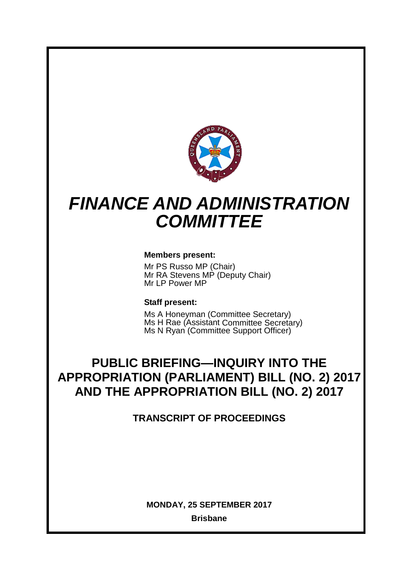

# *FINANCE AND ADMINISTRATION COMMITTEE*

# **Members present:**

Mr PS Russo MP (Chair) Mr RA Stevens MP (Deputy Chair) Mr LP Power MP

# **Staff present:**

Ms A Honeyman (Committee Secretary) Ms H Rae (Assistant Committee Secretary) Ms N Ryan (Committee Support Officer)

# **PUBLIC BRIEFING—INQUIRY INTO THE APPROPRIATION (PARLIAMENT) BILL (NO. 2) 2017 AND THE APPROPRIATION BILL (NO. 2) 2017**

**TRANSCRIPT OF PROCEEDINGS**

**MONDAY, 25 SEPTEMBER 2017**

**Brisbane**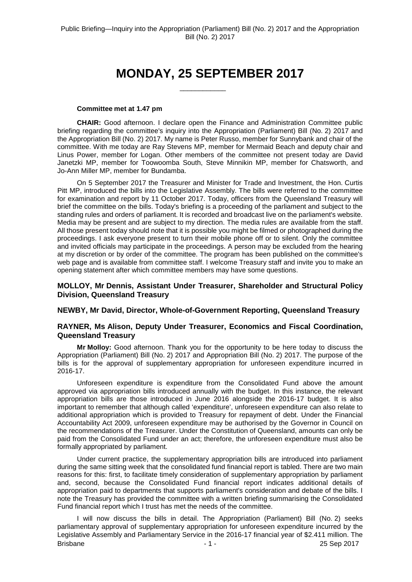# **MONDAY, 25 SEPTEMBER 2017**

 $\overline{\phantom{a}}$  , where  $\overline{\phantom{a}}$ 

#### **Committee met at 1.47 pm**

**CHAIR:** Good afternoon. I declare open the Finance and Administration Committee public briefing regarding the committee's inquiry into the Appropriation (Parliament) Bill (No. 2) 2017 and the Appropriation Bill (No. 2) 2017. My name is Peter Russo, member for Sunnybank and chair of the committee. With me today are Ray Stevens MP, member for Mermaid Beach and deputy chair and Linus Power, member for Logan. Other members of the committee not present today are David Janetzki MP, member for Toowoomba South, Steve Minnikin MP, member for Chatsworth, and Jo-Ann Miller MP, member for Bundamba.

On 5 September 2017 the Treasurer and Minister for Trade and Investment, the Hon. Curtis Pitt MP, introduced the bills into the Legislative Assembly. The bills were referred to the committee for examination and report by 11 October 2017. Today, officers from the Queensland Treasury will brief the committee on the bills. Today's briefing is a proceeding of the parliament and subject to the standing rules and orders of parliament. It is recorded and broadcast live on the parliament's website. Media may be present and are subject to my direction. The media rules are available from the staff. All those present today should note that it is possible you might be filmed or photographed during the proceedings. I ask everyone present to turn their mobile phone off or to silent. Only the committee and invited officials may participate in the proceedings. A person may be excluded from the hearing at my discretion or by order of the committee. The program has been published on the committee's web page and is available from committee staff. I welcome Treasury staff and invite you to make an opening statement after which committee members may have some questions.

## **MOLLOY, Mr Dennis, Assistant Under Treasurer, Shareholder and Structural Policy Division, Queensland Treasury**

#### **NEWBY, Mr David, Director, Whole-of-Government Reporting, Queensland Treasury**

### **RAYNER, Ms Alison, Deputy Under Treasurer, Economics and Fiscal Coordination, Queensland Treasury**

**Mr Molloy:** Good afternoon. Thank you for the opportunity to be here today to discuss the Appropriation (Parliament) Bill (No. 2) 2017 and Appropriation Bill (No. 2) 2017. The purpose of the bills is for the approval of supplementary appropriation for unforeseen expenditure incurred in 2016-17.

Unforeseen expenditure is expenditure from the Consolidated Fund above the amount approved via appropriation bills introduced annually with the budget. In this instance, the relevant appropriation bills are those introduced in June 2016 alongside the 2016-17 budget. It is also important to remember that although called 'expenditure', unforeseen expenditure can also relate to additional appropriation which is provided to Treasury for repayment of debt. Under the Financial Accountability Act 2009, unforeseen expenditure may be authorised by the Governor in Council on the recommendations of the Treasurer. Under the Constitution of Queensland, amounts can only be paid from the Consolidated Fund under an act; therefore, the unforeseen expenditure must also be formally appropriated by parliament.

Under current practice, the supplementary appropriation bills are introduced into parliament during the same sitting week that the consolidated fund financial report is tabled. There are two main reasons for this: first, to facilitate timely consideration of supplementary appropriation by parliament and, second, because the Consolidated Fund financial report indicates additional details of appropriation paid to departments that supports parliament's consideration and debate of the bills. I note the Treasury has provided the committee with a written briefing summarising the Consolidated Fund financial report which I trust has met the needs of the committee.

Brisbane 25 Sep 2017 I will now discuss the bills in detail. The Appropriation (Parliament) Bill (No. 2) seeks parliamentary approval of supplementary appropriation for unforeseen expenditure incurred by the Legislative Assembly and Parliamentary Service in the 2016-17 financial year of \$2.411 million. The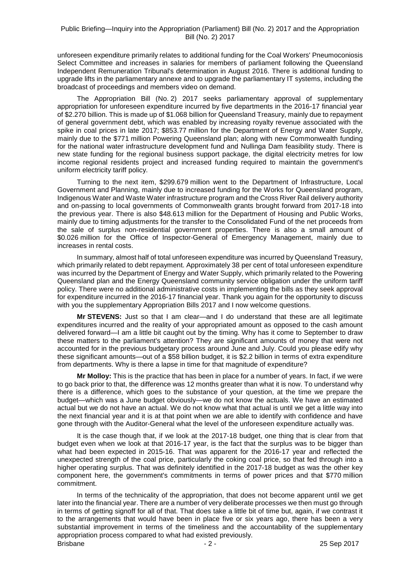unforeseen expenditure primarily relates to additional funding for the Coal Workers' Pneumoconiosis Select Committee and increases in salaries for members of parliament following the Queensland Independent Remuneration Tribunal's determination in August 2016. There is additional funding to upgrade lifts in the parliamentary annexe and to upgrade the parliamentary IT systems, including the broadcast of proceedings and members video on demand.

The Appropriation Bill (No. 2) 2017 seeks parliamentary approval of supplementary appropriation for unforeseen expenditure incurred by five departments in the 2016-17 financial year of \$2.270 billion. This is made up of \$1.068 billion for Queensland Treasury, mainly due to repayment of general government debt, which was enabled by increasing royalty revenue associated with the spike in coal prices in late 2017; \$853.77 million for the Department of Energy and Water Supply, mainly due to the \$771 million Powering Queensland plan; along with new Commonwealth funding for the national water infrastructure development fund and Nullinga Dam feasibility study. There is new state funding for the regional business support package, the digital electricity metres for low income regional residents project and increased funding required to maintain the government's uniform electricity tariff policy.

Turning to the next item, \$299.679 million went to the Department of Infrastructure, Local Government and Planning, mainly due to increased funding for the Works for Queensland program, Indigenous Water and Waste Water infrastructure program and the Cross River Rail delivery authority and on-passing to local governments of Commonwealth grants brought forward from 2017-18 into the previous year. There is also \$48.613 million for the Department of Housing and Public Works, mainly due to timing adjustments for the transfer to the Consolidated Fund of the net proceeds from the sale of surplus non-residential government properties. There is also a small amount of \$0.026 million for the Office of Inspector-General of Emergency Management, mainly due to increases in rental costs.

In summary, almost half of total unforeseen expenditure was incurred by Queensland Treasury, which primarily related to debt repayment. Approximately 38 per cent of total unforeseen expenditure was incurred by the Department of Energy and Water Supply, which primarily related to the Powering Queensland plan and the Energy Queensland community service obligation under the uniform tariff policy. There were no additional administrative costs in implementing the bills as they seek approval for expenditure incurred in the 2016-17 financial year. Thank you again for the opportunity to discuss with you the supplementary Appropriation Bills 2017 and I now welcome questions.

**Mr STEVENS:** Just so that I am clear—and I do understand that these are all legitimate expenditures incurred and the reality of your appropriated amount as opposed to the cash amount delivered forward—I am a little bit caught out by the timing. Why has it come to September to draw these matters to the parliament's attention? They are significant amounts of money that were not accounted for in the previous budgetary process around June and July. Could you please edify why these significant amounts—out of a \$58 billion budget, it is \$2.2 billion in terms of extra expenditure from departments. Why is there a lapse in time for that magnitude of expenditure?

**Mr Molloy:** This is the practice that has been in place for a number of years. In fact, if we were to go back prior to that, the difference was 12 months greater than what it is now. To understand why there is a difference, which goes to the substance of your question, at the time we prepare the budget—which was a June budget obviously—we do not know the actuals. We have an estimated actual but we do not have an actual. We do not know what that actual is until we get a little way into the next financial year and it is at that point when we are able to identify with confidence and have gone through with the Auditor-General what the level of the unforeseen expenditure actually was.

It is the case though that, if we look at the 2017-18 budget, one thing that is clear from that budget even when we look at that 2016-17 year, is the fact that the surplus was to be bigger than what had been expected in 2015-16. That was apparent for the 2016-17 year and reflected the unexpected strength of the coal price, particularly the coking coal price, so that fed through into a higher operating surplus. That was definitely identified in the 2017-18 budget as was the other key component here, the government's commitments in terms of power prices and that \$770 million commitment.

Brisbane 2 - 2 - 2 - 25 Sep 2017 In terms of the technicality of the appropriation, that does not become apparent until we get later into the financial year. There are a number of very deliberate processes we then must go through in terms of getting signoff for all of that. That does take a little bit of time but, again, if we contrast it to the arrangements that would have been in place five or six years ago, there has been a very substantial improvement in terms of the timeliness and the accountability of the supplementary appropriation process compared to what had existed previously.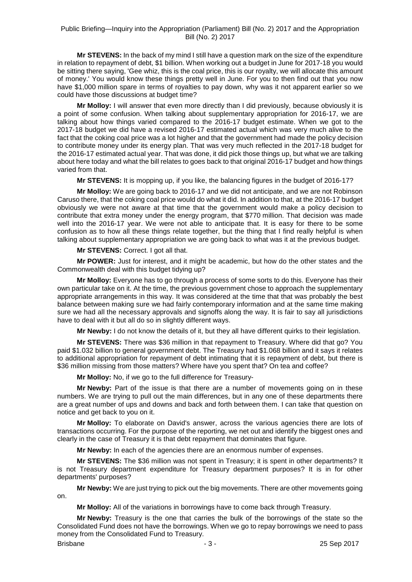**Mr STEVENS:** In the back of my mind I still have a question mark on the size of the expenditure in relation to repayment of debt, \$1 billion. When working out a budget in June for 2017-18 you would be sitting there saying, 'Gee whiz, this is the coal price, this is our royalty, we will allocate this amount of money.' You would know these things pretty well in June. For you to then find out that you now have \$1,000 million spare in terms of royalties to pay down, why was it not apparent earlier so we could have those discussions at budget time?

**Mr Molloy:** I will answer that even more directly than I did previously, because obviously it is a point of some confusion. When talking about supplementary appropriation for 2016-17, we are talking about how things varied compared to the 2016-17 budget estimate. When we got to the 2017-18 budget we did have a revised 2016-17 estimated actual which was very much alive to the fact that the coking coal price was a lot higher and that the government had made the policy decision to contribute money under its energy plan. That was very much reflected in the 2017-18 budget for the 2016-17 estimated actual year. That was done, it did pick those things up, but what we are talking about here today and what the bill relates to goes back to that original 2016-17 budget and how things varied from that.

**Mr STEVENS:** It is mopping up, if you like, the balancing figures in the budget of 2016-17?

**Mr Molloy:** We are going back to 2016-17 and we did not anticipate, and we are not Robinson Caruso there, that the coking coal price would do what it did. In addition to that, at the 2016-17 budget obviously we were not aware at that time that the government would make a policy decision to contribute that extra money under the energy program, that \$770 million. That decision was made well into the 2016-17 year. We were not able to anticipate that. It is easy for there to be some confusion as to how all these things relate together, but the thing that I find really helpful is when talking about supplementary appropriation we are going back to what was it at the previous budget.

**Mr STEVENS:** Correct. I got all that.

**Mr POWER:** Just for interest, and it might be academic, but how do the other states and the Commonwealth deal with this budget tidying up?

**Mr Molloy:** Everyone has to go through a process of some sorts to do this. Everyone has their own particular take on it. At the time, the previous government chose to approach the supplementary appropriate arrangements in this way. It was considered at the time that that was probably the best balance between making sure we had fairly contemporary information and at the same time making sure we had all the necessary approvals and signoffs along the way. It is fair to say all jurisdictions have to deal with it but all do so in slightly different ways.

**Mr Newby:** I do not know the details of it, but they all have different quirks to their legislation.

**Mr STEVENS:** There was \$36 million in that repayment to Treasury. Where did that go? You paid \$1.032 billion to general government debt. The Treasury had \$1.068 billion and it says it relates to additional appropriation for repayment of debt intimating that it is repayment of debt, but there is \$36 million missing from those matters? Where have you spent that? On tea and coffee?

**Mr Molloy:** No, if we go to the full difference for Treasury-

**Mr Newby:** Part of the issue is that there are a number of movements going on in these numbers. We are trying to pull out the main differences, but in any one of these departments there are a great number of ups and downs and back and forth between them. I can take that question on notice and get back to you on it.

**Mr Molloy:** To elaborate on David's answer, across the various agencies there are lots of transactions occurring. For the purpose of the reporting, we net out and identify the biggest ones and clearly in the case of Treasury it is that debt repayment that dominates that figure.

**Mr Newby:** In each of the agencies there are an enormous number of expenses.

**Mr STEVENS:** The \$36 million was not spent in Treasury; it is spent in other departments? It is not Treasury department expenditure for Treasury department purposes? It is in for other departments' purposes?

**Mr Newby:** We are just trying to pick out the big movements. There are other movements going on.

**Mr Molloy:** All of the variations in borrowings have to come back through Treasury.

**Mr Newby:** Treasury is the one that carries the bulk of the borrowings of the state so the Consolidated Fund does not have the borrowings. When we go to repay borrowings we need to pass money from the Consolidated Fund to Treasury.